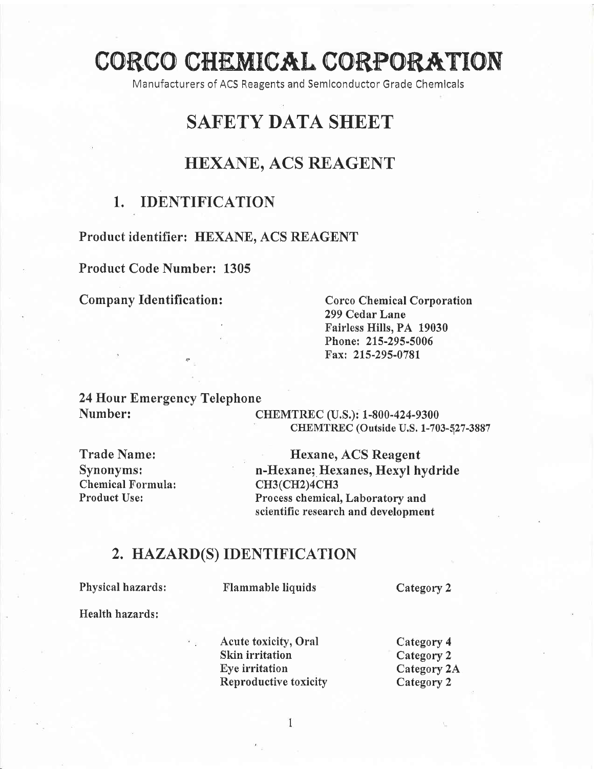# CORCO CHEMICAL CORPORATION

Manufacturers of ACS Reagents and Semlconductor Grade Chemicals

# SAFETY DATA SHEET

# HEXANE, ACS REAGENT

# 1.. IDENTIFICATION

## Product identifier: HEXANE. ACS REAGENT

## Product Code Number: 1305

### Company Identification:

Corco Chemical Corporation 299 Cedar Lane Fairless Hills, PA 19030 Phone: 215-295-5006 Fax: 215-295-0781

## 24 Hour Emergency Telephone Number:

CHEMTREC (U.S.): 1-800-424-9300 CHEMTREC (Outside U.S. 1-703-527-3887

Trade Name: Synonyms: Chemical Formula: Product Use:

Hexane, ACS Reagent n-Hexane; Hexanes, Hexyl hydride cH3(CH2)4CH3 Process chemical, Laboratory and scientific research and development

# 2. HAZARD(S) IDENTIFICATION

Physical hazards:

Flammable liquids Category 2

Health hazards:

Acute toxicity, Oral Skin irritation Eye irritation Reproductive toxicity Category 4 Category 2 Category 2A Category 2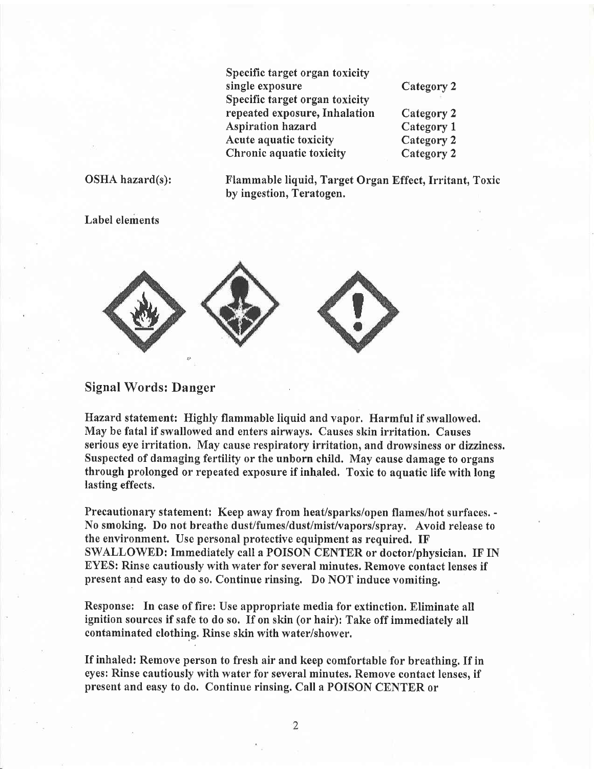| Specific target organ toxicity |            |
|--------------------------------|------------|
| single exposure                | Category 2 |
| Specific target organ toxicity |            |
| repeated exposure, Inhalation  | Category 2 |
| <b>Aspiration hazard</b>       | Category 1 |
| Acute aquatic toxicity         | Category 2 |
| Chronic aquatic toxicity       | Category 2 |

### OSHA hazard(s):

Flammable liquid, Target Organ Effect, Irritant, Toxic by ingestion, Teratogen.

Label elements



### Signal Words: Danger

Hazard statement: Highly flammable liquid and vapor. Harmful if swallowed. May be fatal if swallowed and enters airways. Causes skin irritation. Causes serious eye irritation, May cause respiratory irritation, and drowsiness or dizziness. Suspected of damaging fertility or the unborn child. May cause damage to organs through prolonged or repeated exposure if inhaled. Toxic to aquatic life with long lasting effects.

Precautionary statement: Keep away from heat/sparks/open flames/hot surfaces. - No smoking. Do not breathe dust/fumes/dust/mist/vapors/spray. Avoid release to the environment. Use personal protective equipment as required. IF' SWALLOWED: Immediately call a POISON CENTER or doctor/physician. IF IN EYES: Rinse cautiously with water for several minutes, Remove contact lenses if present and easy to do so. Continue rinsing. Do NOT induce vomiting.

Response: In case of fire: Use appropriate media for extinction. Eliminate all ignition sources if safe to do so. If on skin (or hair): Take off immediately all contaminated clothing. Rinse skin with water/shower.

If inhaled: Remove person to fresh air and keep comfortable for breathing. If in eyes: Rinse cautiously with water for several minutes. Remove contact lenses, if present and easy to do. Continue rinsing. Call a POISON CENTER or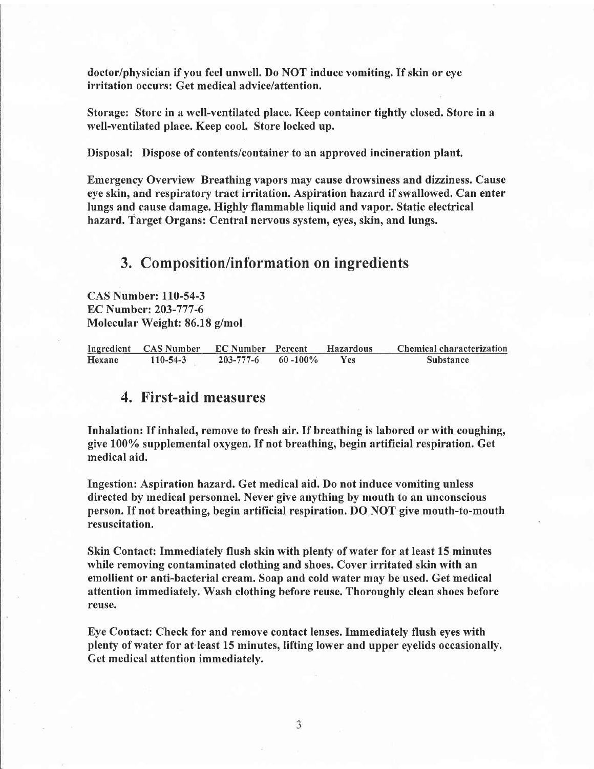doctor/physician if you feel unwell. Do NOT induce vomiting. If skin or eye irritation occurs: Get medical advice/attention.

Storage: Store in a well-ventilated place. Keep container tightly closed. Store in a well-ventilated place. Keep cool. Store locked up.

Disposal: Dispose of contents/container to an approved incineration plant.

Emergency Overview Breathing vapors may cause drowsiness and dizziness. Cause eye skin, and respiratory tract irritation. Aspiration hazard if swallowed. Can enter lungs and cause damage. Highly flammable liquid and vapor. Static electrical hazard. Target Organs: Central nervous system, eyes, skin, and lungs.

## 3. Composition/information on ingredients

CAS Number: 110-54-3 EC Number: 203-777-6 Molecular Weight: 86.18 g/mol

|        | Ingredient CAS Number EC Number Percent |           |              | <b>Hazardous</b> | Chemical characterization |
|--------|-----------------------------------------|-----------|--------------|------------------|---------------------------|
| Hexane | 110-54-3                                | 203-777-6 | $60 - 100\%$ | <b>Yes</b>       | <b>Substance</b>          |

## 4. First-aid measures

Inhalation: If inhaled, remove to fresh air. If breathing is labored or with coughing, give 1007o supplemental oxygen. If not breathing, begin artificial respiration. Get medical aid.

Ingestion: Aspiration hazard, Get medical aid. Do not induce vomiting unless directed by medical personnel. Never give anything by mouth to an unconscious person. If not breathing, begin artificial respiration. DO NOT give mouth-to-mouth resuscitation.

Skin Contact: Immediately flush skin with plenty of water for at least 15 minutes while removing contaminated clothing and shoes. Cover irritated skin with an emollient or anti-bacterial cream. Soap and cold water may be used. Get medical attention immediately. Wash clothing before reuse. Thoroughly clean shoes before reuse.

Eye Contact: Check for and remove contact lenses. Immediately flush eyes with plenty of water for at least 15 minutes, lifting lower and upper eyelids occasionally. Get medical attention immediatelv.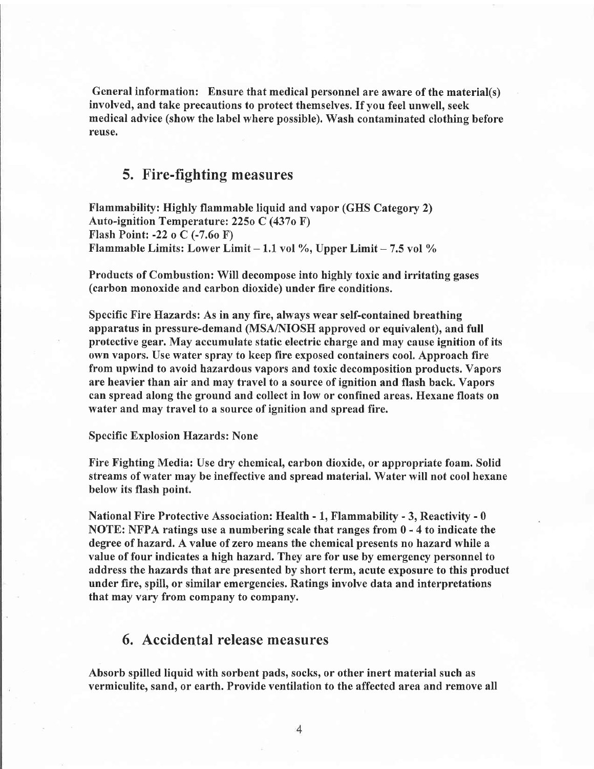General information: Ensure that medical personnel are aware of the material(s) involved, and take precautions to protect themselves. If you feel unwell, seek medical advice (show the label where possible). Wash contaminated clothing before reuse.

## 5. Fire-fighting measures

Flammabilify: Highly flammable liquid and vapor (GHS Category 2) Auto-ignition Temperature: 225o C (437o F') Flash Point: -22 o C (-7.6o F) Flammable Limits: Lower Limit  $-1.1$  vol %, Upper Limit  $-7.5$  vol %

Products of Combustion: Will decompose into highly toxic and irritating gases (carbon monoxide and carbon dioxide) under fire conditions.

Specific Fire Hazards: As in any fire, always wear self-contained breathing apparatus in pressure-demand (MSA/NIOSH approved or equivalent), and full protective gear. May accumulate static electric charge and may cause ignition of its own vapors. Use water spray to keep fire exposed containers cool. Approach fire from upwind to avoid hazardous vapors and toxic decomposition products. Vapors are heavier than air and may travel to a source of ignition and flash back. Vapors can spread along the ground and collect in low or confined areas. Hexane floats on water and may travel to a source of ignition and spread fire.

#### Specific Explosion Hazards: None

Fire Fighting Media: Use dry chemical, carbon dioxide, or appropriate foam. Solid streams of water may be ineffective and spread material. Water will not cool hexane below its flash point.

National Fire Protective Association: Health - 1, Flammability - 3, Reactivity - 0 NOTE: NFPA ratings use a numbering scale that ranges from 0 - 4 to indicate the degree of hazard. A value of zero means the chemical presents no hazard while a value of four indicates a high hazard. They are for use by emergency personnel to address the hazards that are presented by short term, acute exposure to this product under fire, spill, or similar emergencies. Ratings involve data and interpretations that may vary from company to company.

## 6. Accidental release measures

Absorb spilled liquid with sorbent pads, socks, or other inert material such as vermiculite, sand, or earth. Provide ventilation to the affected area and remove all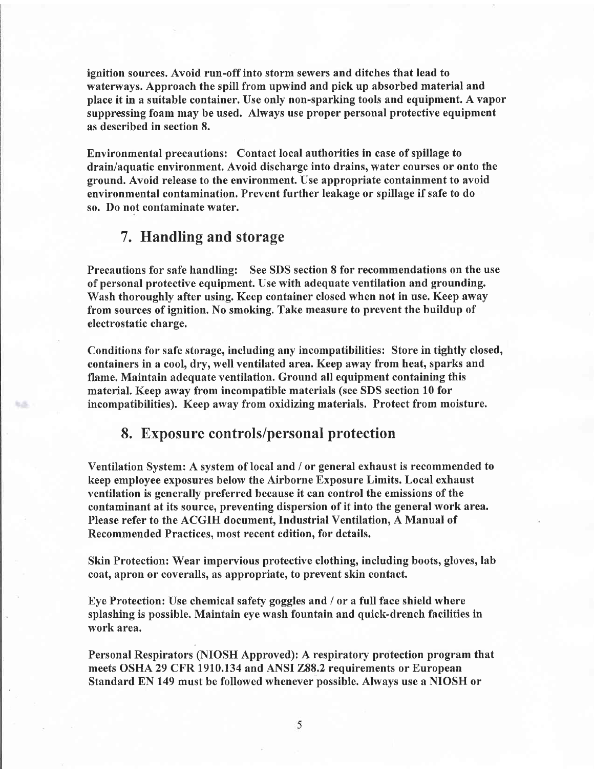ignition sources. Avoid run-off into storm sewers and ditches that lead to waterways. Approach the spill from upwind and pick up absorbed material and place it in a suitable container. Use only non-sparking tools and equipment. A vapor suppressing foam may be used. Always use proper personal protective equipment as described in section 8.

Environmental precautions: Contact local authorities in case of spillage to drain/aquatic environment. Avoid discharge into drains, water courses or onto the ground. Avoid release to the environment. Use appropriate containment to avoid environmental contamination. Prevent further leakage or spillage if safe to do so. Do not contaminate water.

## 7. Handling and storage

Precautions for safe handling: See SDS section 8 for recommendations on the use of personal protective equipment. Use with adequate ventilation and grounding. Wash thoroughly after using. Keep container closed when not in use. Keep away from sources of ignition. No smoking. Take measure to prevent the buildup of electrostatic charge.

Conditions for safe storage, including any incompatibilities: Store in tightly closed, containers in a cool, dry, well ventilated area, Keep away from heat, sparks and flame. Maintain adequate ventilation. Ground all equipment containing this material. Keep away from incompatible materials (see SDS section 10 for incompatibilities). Keep away from oxidizing materials. Protect from moisture.

## 8. Exposure controls/personal protection

Ventilation System: A system of local and / or general exhaust is recommended to keep employee exposures below the Airborne Exposure Limits. Local exhaust ventilation is generally preferred because it can control the emissions of the contaminant at its source, preventing dispersion of it into the general work area. Please refer to the ACGIH document, Industrial Ventilation, A Manual of Recommended Practices, most recent edition, for details.

Skin Protection: Wear impervious protective clothing, including boots, gloves, lab coat, apron or coveralls, as appropriate, to prevent skin contact.

Eye Protection: Use chemical safefy goggles and / or a full face shield where splashing is possible. Maintain eye wash fountain and quick-drench facilities in work area.

Personal Respirators (NIOSH Approved): A respiratory protection program that meets OSHA 29 CFR 1910.134 and ANSI 288.2 requirements or European Standard EN 149 must be followed whenever possible. Always use a NIOSH or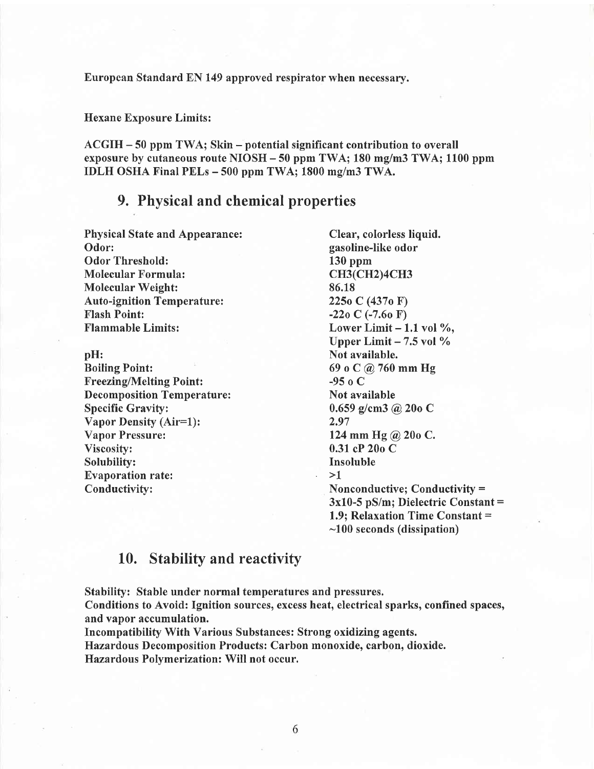European Standard EN 149 approved respirator when necessary.

Hexane Exposure Limits:

ACGIH - 50 ppm TWA; Skin - potential significant contribution to overall exposure by cutaneous route NIOSH - 50 ppm TWA; 180 mg/m3 TWA; 1100 ppm IDLH OSHA Final PELs - 500 ppm TWA; 1800 mg/m3 TWA.

## 9. Physical and chemical properties

Physical State and Appearance: Clear, colorless liquid.<br>
Odor: gasoline-like odor Odor Threshold: 130 ppm<br>
Molecular Formula: CH3(CH2)4CH3 Molecular Formula: Molecular Weight: 86.18<br>
Auto-ignition Temperature: 2250 C (4370 F) Auto-ignition Temperature:<br>Flash Point: Flash Point: -22o C (-7.6o F)<br>Flammable Limits: Lower Limit – 1

pH:<br>Boiling Point: 69 o C @ 760 i Freezing/Melting Point:<br>
Decomposition Temperature: Not available Decomposition Temperature:<br>Specific Gravity: Vapor Density (Air=1):<br>Vapor Pressure: Vapor Pressure: 124 mm Hg @ 20o C.<br>Viscosity: 0.31 cP 20o C Solubility: Ins<br>Evanoration rate: 1 Evaporation rate:<br>Conductivity:

gasoline-like odor<br>130 ppm Lower Limit  $-1.1$  vol %, Upper Limit  $-7.5$  vol  $\%$ 69 o C @ 760 mm Hg<br>-95 o C  $0.659$  g/cm3 @ 20o C<br>2.97 0.31 cP 20o C<br>Insoluble Nonconductive; Conductivity  $=$ 3x10-5 pS/m; Dielectric Constant = 1.9; Relaxation Time Constant = -100 seconds (dissipation)

## 10. Stability and reactivity

Stabilify: Stable under normal temperatures and pressures.

Conditions to Avoid: Ignition sources, excess heat, electrical sparks, confined spaces, and vapor accumulation.

Incompatibility With Various Substances: Strong oxidizing agents. Hazardous Decomposition Products: Carbon monoxide, carbon, dioxide. Hazardous Polymerization: Will not occur.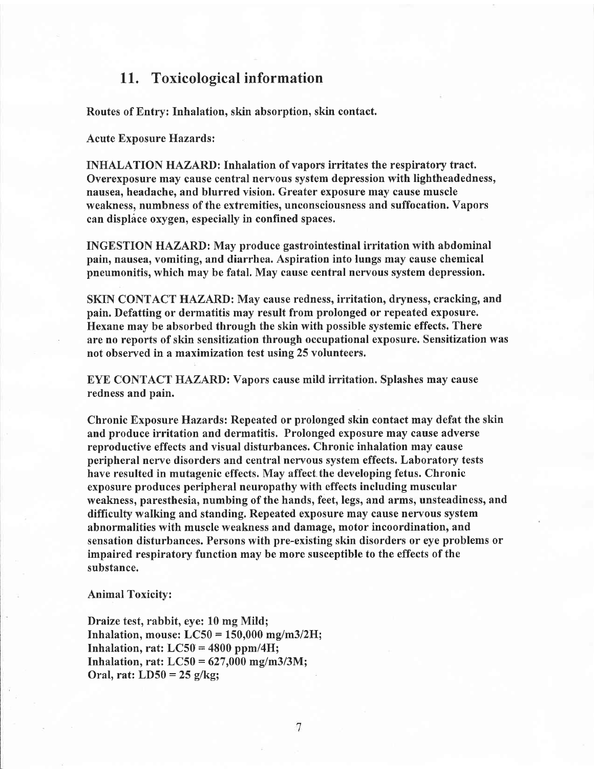## 11. Toxicological information

Routes of Entry: Inhalation, skin absorption, skin contact.

Acute Exposure Hazards:

INHALATION HAZARD: Inhalation of vapors irritates the respiratory tract. Overexposure may cause central nervous system depression with lightheadedness, nausea, headache, and blurred vision. Greater exposure may cause muscle weakness, numbness of the extremities, unconsciousness and suffocation. Vapors can displace oxygen, especially in confined spaces.

INGESTION HAZARD: May produce gastrointestinal irritation with abdominal pain, nausea, vomiting, and diarrhea. Aspiration into lungs may cause chemical pneumonitis, which may be fatal. May cause central nervous system depression.

SKIN CONTACT HAZARD: May cause redness, irritation, dryness, cracking, and pain. Defatting or dermatitis may result from prolonged or repeated exposure. Hexane may be absorbed through the skin with possible systemic effects. There are no reports of skin sensitization through occupational exposure. Sensitization was not observed in a maximization test using 25 volunteers.

EYE CONTACT HAZARD: Vapors cause mild irritation. Splashes may cause redness and pain.

Chronic Exposure Hazards: Repeated or prolonged skin contact may defat the skin and produce irritation and dermatitis. Prolonged exposure may cause adverse reproductive effects and visual disturbances. Chronic inhalation may cause peripheral nerve disorders and central nervous system effects. Laboratory tests have resulted in mutagenic effects. May affect.the developing fetus. Chronic exposure produces peripheral neuropathy with effects including muscular weakness, paresthesia, numbing of the hands, feet, legs, and arms, unsteadiness, and difficulty walking and standing. Repeated exposure may cause nervous system abnormalities with muscle weakness and damage, motor incoordination, and sensation disturbances. Persons with pre-existing skin disorders or eye problems or impaired respiratory function may be more susceptible to the effects of the substance.

Animal Toxicity:

Draize test, rabbit, eye: 10 mg Mild; Inhalation, mouse:  $LC50 = 150,000$  mg/m3/2H; Inhalation, rat:  $LC50 = 4800$  ppm/4H; Inhalation, rat:  $LC50 = 627,000$  mg/m3/3M; Oral, rat:  $LD50 = 25$  g/kg;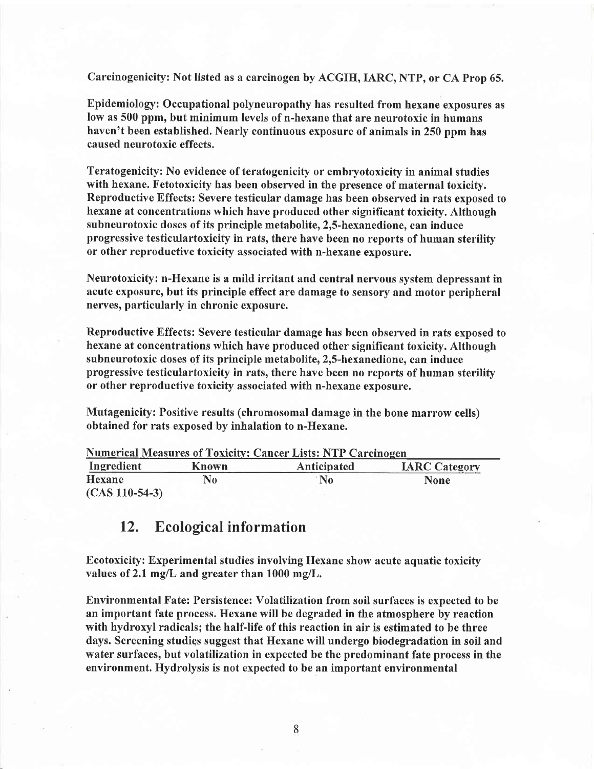Carcinogenicity: Not listed as a carcinogen by ACGIH, IARC, NTP, or CA Prop 65.

Epidemiology: Occupational polyneuropathy has resulted from hexane exposures as low as 500 ppm, but minimum levels of n-hexane that are neurotoxic in humans haven't been established. Nearly continuous exposure of animals in 250 ppm has caused neurotoxic effects.

Teratogenicity: No evidence of teratogenicity or embryotoxicity in animal studies with hexane. Fetotoxicity has been observed in the presence of maternal toxicity. Reproductive Effects: Severe testicular damage has been observed in rats exposed to hexane at concentrations which have produced other significant toxicity. Although subneurotoxic doses of its principle metabolite, 2,5-hexanedione, can induce progressive testiculartoxicity in rats, there have been no reports of human sterility or other reproductive toxicity associated with n-hexane exposure.

Neurotoxicity: n-I{exane is a mild irritant and central nervous system depressant in acute exposure, but its principle effect are damage to sensory and motor peripheral nerves, particularly in chronic exposure.

Reproductive Effects: Severe testicular damage has been observed in rats exposed to hexane at concentrations which have produced other significant toxicity. Although subneurotoxic doses of its principle metabolite, 2,5-hexanedione, can induce progressive testiculartoxicity in rats, there have been no reports of human sterility or other reproductive toxicity associated with n-hexane exposure.

Mutagenicity: Positive results (chromosomal damage in the bone marrow cells) obtained for rats exposed by inhalation to n-Hexane.

| <b>Numerical Measures of Toxicity: Cancer Lists: NTP Carcinogen</b> |              |                    |                      |  |  |
|---------------------------------------------------------------------|--------------|--------------------|----------------------|--|--|
| Ingredient                                                          | <b>Known</b> | <b>Anticipated</b> | <b>IARC Category</b> |  |  |
| Hexane                                                              | No           | $\bf No$           | <b>None</b>          |  |  |
| $(CAS 110-54-3)$                                                    |              |                    |                      |  |  |

## 12. Ecological information

Ecotoxicity: Experimental studies involving Hexane show acute aquatic toxicity values of 2.1 mg/L and greater than  $1000$  mg/L.

Environmental Fate: Persistence: Volatilization from soil surfaces is expected to be an important fate process. Hexane will be degraded in the atmosphere by reaction with hydroxyl radicals; the half-life of this reaction in air is estimated to be three days. Screening studies suggest that Hexane will undergo biodegradation in soil and water surfaces, but volatilization in expected be the predominant fate process in the environment. Hydrolysis is not expected to be an important environmental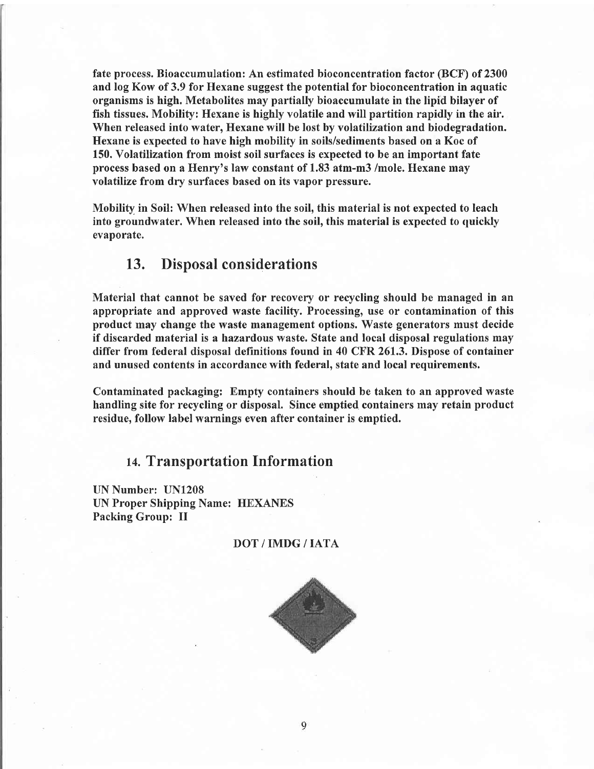fate process. Bioaccumulation: An estimated bioconcentration factor (BCF) of 2300 and log Kow of 3.9 for Hexane suggest the potential for bioconcentration in aquatic organisms is high. Metabolites may partially bioaccumulate in the lipid bilayer of fish tissues. Mobilify: Hexane is highly volatile and will partition rapidly in the air. When released into water, Hexane will be lost by volatilization and biodegradation. Hexane is expected to have high mobility in soils/sediments based on a Koc of 150. Volatilization from moist soil surfaces is expected to be an important fate process based on a Henry's law constant of 1.83 atm-m3 /mole. Hexane may volatilize from dry surfaces based on its vapor pressure.

Mobility in Soil: When released into the soil, this material is not expected to leach into groundwater. When released into the soil, this material is expected to quickly evaporate.

## 13. Disposal considerations

Material that cannot be saved for recovery or recycling should be managed in an appropriate and approved waste facility. Processing, use or contamination of this product may change the waste management options. Waste generators must decide if discarded material is a hazardous waste. State and local disposal regulations may differ from federal disposal definitions found in 40 CFR 26I.3, Dispose of container and unused contents in accordance with federal, state and local requirements.

Contaminated packaging: Empty containers should be taken to an approved waste handling site for recycling or disposal. Since emptied containers may retain product residue, follow label warnings even after container is emptied.

## 14. Transportation Information

UN Number: UN1208 UN Proper Shipping Name: HEXANES Packing Group: II

#### DOT/IMDG/IATA

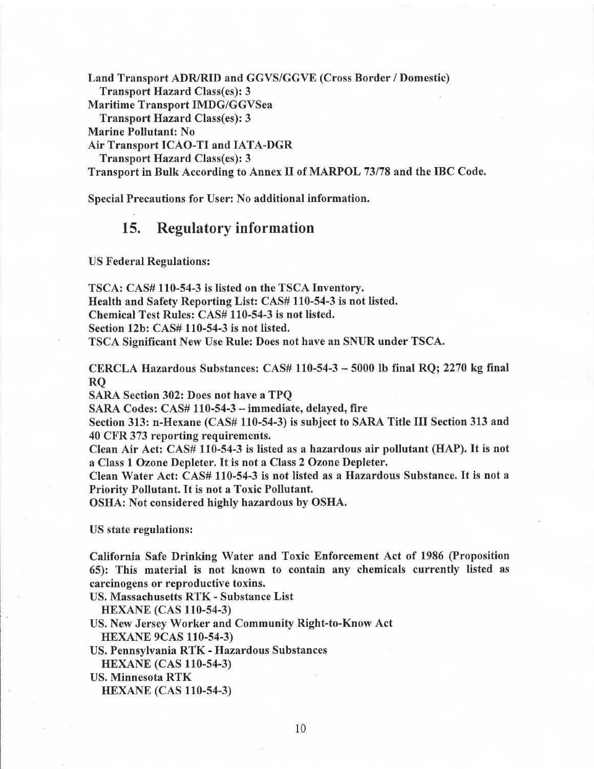Land Transport ADR/RID and GGVS/GGVE (Cross Border / Domestic) Transport Hazard Class(es): 3 Maritime Transport IMDG/GGVSea Transport Hazard Class(es): 3 Marine Pollutant: No Air Transport ICAO-TI and IATA-DGR Transport Hazard Class(es): 3 Transport in Bulk According to Annex II of MARPOL 73178 and the IBC Code.

Special Precautions for User: No additional information.

## 15. Regulatory information

US Federal Regulations:

TSCA: CAS# 110-54-3 is listed on the TSCA Inventory. Health and Safety Reporting List: CAS# 110-54-3 is not listed. Chemical Test Rules: CAS# 110-54-3 is not listed. Section 12b: CAS# 110-54-3 is not listed. TSCA Significant New Use Rule: Does not have an SNUR under TSCA.

CERCLA Hazardous Substances: CAS# 110-54-3 - 5000 lb final RQ; 2270 kg final RQ

SARA Section 302: Does not have a TPQ

SARA Codes: CAS# 110-54-3 - immediate, delayed, fire

Section 313: n-Hexane (CAS# 110-54-3) is subject to SARA Title III Section 313 and 40 CFR 373 reporting requirements.

Clean Air Act: CAS# 110-54-3 is listed as ahazardous air pollutant (HAP). It is not a Class 1 Ozone Depleter. It is not a Class 2 Ozone Depleter.

Clean Water Act: CAS# 110-54-3 is not listed as a Hazardous Substance. It is not <sup>a</sup> Priority Pollutant. It is not a Toxic Pollutant.

OSHA: Not considered highly hazardous by OSHA.

US state regulations:

California Safe Drinking Water and Toxic Enforcement Act of 1986 (Proposition 65): This material is not known to contain any chemicals currently listed as carcinogens or reproductive toxins.

US. Massachusetts RTK - Substance List

**HEXANE** (CAS 110-54-3)

US. New Jersey Worker and Community Right-to-Know Act HEXANE 9CAS 110-54-3)

US. Pennsylvania RTK - Hazardous Substances

**HEXANE** (CAS 110-54-3)

US. Minnesota RTK

HEXANE (CAS 110.54.3)